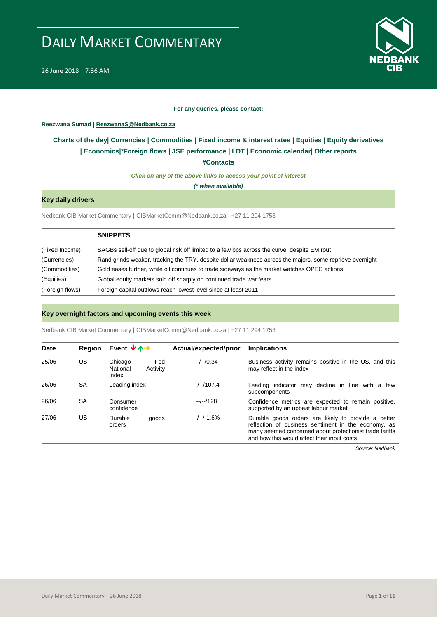

#### **For any queries, please contact:**

#### <span id="page-0-0"></span>**Reezwana Sumad | ReezwanaS@Nedbank.co.za**

### **Charts of the day| [Currencies](#page-2-0) [| Commodities](#page-3-0) | [Fixed income & interest rates](#page-1-0) | [Equities](#page-4-0) | Equity derivatives | Economics|[\\*Foreign flows](#page-7-0) | JSE performance | [LDT](#page-5-0) | [Economic calendar|](#page-8-0) Other reports**

**[#Contacts](#page-9-0)**

*Click on any of the above links to access your point of interest*

*(\* when available)*

### **Key daily drivers**

Nedbank CIB Market Commentary | CIBMarketComm@Nedbank.co.za | +27 11 294 1753

|                 | <b>SNIPPETS</b>                                                                                          |
|-----------------|----------------------------------------------------------------------------------------------------------|
| (Fixed Income)  | SAGBs sell-off due to global risk off limited to a few bps across the curve, despite EM rout             |
| (Currencies)    | Rand grinds weaker, tracking the TRY, despite dollar weakness across the majors, some reprieve overnight |
| (Commodities)   | Gold eases further, while oil continues to trade sideways as the market watches OPEC actions             |
| (Equities)      | Global equity markets sold off sharply on continued trade war fears                                      |
| (Foreign flows) | Foreign capital outflows reach lowest level since at least 2011                                          |

#### **Key overnight factors and upcoming events this week**

Nedbank CIB Market Commentary | CIBMarketComm@Nedbank.co.za | +27 11 294 1753

| Date  | Region | Event $\forall$ $\uparrow$ $\rightarrow$        | Actual/expected/prior | <b>Implications</b>                                                                                                                                                                                                  |
|-------|--------|-------------------------------------------------|-----------------------|----------------------------------------------------------------------------------------------------------------------------------------------------------------------------------------------------------------------|
| 25/06 | US     | Chicago<br>Fed<br>National<br>Activity<br>index | $-/-/0.34$            | Business activity remains positive in the US, and this<br>may reflect in the index                                                                                                                                   |
| 26/06 | SA     | Leading index                                   | $-/-/107.4$           | Leading indicator may decline in line with a few<br>subcomponents                                                                                                                                                    |
| 26/06 | SA     | Consumer<br>confidence                          | $-/-/128$             | Confidence metrics are expected to remain positive,<br>supported by an upbeat labour market                                                                                                                          |
| 27/06 | US     | Durable<br>goods<br>orders                      | $-/-/-1.6%$           | Durable goods orders are likely to provide a better<br>reflection of business sentiment in the economy, as<br>many seemed concerned about protectionist trade tariffs<br>and how this would affect their input costs |

*Source: Nedbank*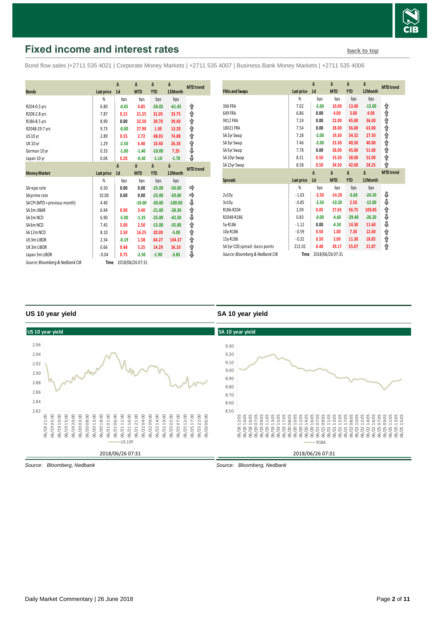

# <span id="page-1-0"></span>**Fixed income and interest rates [back to top](#page-0-0) back to top**

Bond flow sales |+2711 535 4021 | Corporate Money Markets | +2711 535 4007 | Business Bank Money Markets | +2711 535 4006

|                                 |            | Δ              | Δ                | Δ          | Δ         |                  |
|---------------------------------|------------|----------------|------------------|------------|-----------|------------------|
| <b>Bonds</b>                    | Last price | 1 <sub>d</sub> | <b>MTD</b>       | <b>YTD</b> | 12Month   | <b>MTD</b> trend |
|                                 | %          |                |                  |            |           |                  |
|                                 |            | bps            | bps              | bps        | bps       |                  |
| R204-0.5 yrs                    | 6.80       | $-0.05$        | 4.85             | $-26.05$   | $-61.45$  | ⇑                |
| R208-2.8 yrs                    | 7.87       | 0.15           | 21.55            | 31.05      | 33.75     | ↟                |
| R186-8.5 yrs                    | 8.90       | 0.00           | 32.50            | 30.70      | 39.40     | ↟                |
| R2048-29.7 yrs                  | 9.73       | $-0.00$        | 27.90            | 1.30       | 13.20     | ↟                |
| <b>US 10 yr</b>                 | 2.89       | 0.55           | 2.72             | 48.03      | 74.88     | ⇑                |
| <b>UK 10 yr</b>                 | 1.29       | $-2.50$        | 6.40             | 10.40      | 26.30     | ↑                |
| German 10 yr                    | 0.33       | $-1.00$        | $-1.40$          | $-10.00$   | 7.20      | ⇓                |
| Japan 10 yr                     | 0.04       | 0.20           | $-0.30$          | $-1.10$    | $-1.70$   | ⊕                |
|                                 |            | $\Lambda$      | $\Delta$         | Δ          | Δ         | <b>MTD</b> trend |
| <b>Money Market</b>             | Last price | 1 <sub>d</sub> | <b>MTD</b>       | <b>YTD</b> | 12Month   |                  |
|                                 | %          | bps            | bps              | bps        | bps       |                  |
| SA reporate                     | 6.50       | 0.00           | 0.00             | $-25.00$   | $-50.00$  |                  |
| SA prime rate                   | 10.00      | 0.00           | 0.00             | $-25.00$   | $-50.00$  | ⇛                |
| SA CPI (MTD = previous month)   | 4.40       |                | $-10.00$         | $-30.00$   | $-100.00$ | ⇓                |
| SA 3m JIBAR                     | 6.94       | 0.90           | 3.40             | $-21.60$   | $-38.30$  | ↟                |
| SA3m NCD                        | 6.90       | $-5.00$        | $-1.25$          | $-25.00$   | $-42.50$  | ⇓                |
| SA6m NCD                        | 7.45       | 5.00           | 2.50             | $-15.00$   | $-35.00$  | ↟                |
| SA12m NCD                       | 8.10       | 2.50           | 16.25            | 20.00      | $-5.00$   | ↑                |
| US 3m LIBOR                     | 2.34       | $-0.19$        | 1.58             | 64.27      | 104.37    | ⇑                |
| UK3mLIBOR                       | 0.66       | 0.48           | 5.25             | 14.29      | 36.10     | ↟                |
| Japan 3m LIBOR                  | $-0.04$    | 0.75           | $-2.50$          | $-1.90$    | $-3.85$   | ⇓                |
| Source: Bloomberg & Nedbank CIB | Time       |                | 2018/06/26 07:31 |            |           |                  |

| <b>FRAs and Swaps</b>            | Last price | Δ<br>1 <sub>d</sub> | Δ<br><b>MTD</b> | Δ<br><b>YTD</b> | Δ<br>12Month | <b>MTD</b> trend |
|----------------------------------|------------|---------------------|-----------------|-----------------|--------------|------------------|
|                                  | %          | bps                 | bps             | bps             | bps          |                  |
| 3X6 FRA                          | 7.02       | $-2.00$             | 10.00           | 13.00           | $-13.00$     | ⇑                |
| 6X9 FRA                          | 6.86       | 0.00                | 4.00            | 3.00            | 4.00         | ⇑                |
| 9X12 FRA                         | 7.24       | 0.00                | 22.00           | 45.00           | 36.00        | ⇑                |
| 18X21 FRA                        | 7.54       | 0.00                | 28.00           | 56.00           | 63.00        | ⋔                |
| SA 2yr Swap                      | 7.28       | $-2.00$             | 19.30           | 34.32           | 27.50        | ↟                |
| SA 3yr Swap                      | 7.46       | $-2.00$             | 23.30           | 40.50           | 40.00        | ⋔                |
| SA 5yr Swap                      | 7.78       | 0.00                | 28.00           | 45.00           | 51.00        | ⇑                |
| SA10yr Swap                      | 8.31       | 0.50                | 33.50           | 38.00           | 52.00        | ⋔                |
| SA15yr Swap                      | 8.58       | 0.50                | 34.50           | 42.00           | 58.25        | ⇑                |
|                                  |            |                     |                 |                 |              |                  |
|                                  |            | Δ                   | $\Delta$        | $\Delta$        | Δ            | <b>MTD</b> trend |
| <b>Spreads</b>                   | Last price | 1 <sub>d</sub>      | <b>MTD</b>      | <b>YTD</b>      | 12Month      |                  |
|                                  | %          | bps                 | bps             | bps             | bps          |                  |
| 2v10v                            | $-1.03$    | $-2.50$             | $-14.20$        | $-3.68$         | $-24.50$     | ₽                |
| 3v10v                            | $-0.85$    | $-2.50$             | $-10.20$        | 2.50            | $-12.00$     | ⇓                |
| R186-R204                        | 2.09       | 0.05                | 27.65           | 56.75           | 100.85       | ⇑                |
| R2048-R186                       | 0.83       | $-0.00$             | $-4.60$         | $-29.40$        | $-26.20$     | ⇓                |
| 5y-R186                          | $-1.12$    | 0.00                | $-4.50$         | 14.30           | 11.60        | ⇓                |
| 10y-R186                         | $-0.59$    | 0.50                | 1.00            | 7.30            | 12.60        | ↟                |
| 15y-R186                         | $-0.32$    | 0.50                | 2.00            | 11.30           | 18.85        | ⇑                |
| SA 5yr CDS spread - basis points | 212.02     | 8.48                | 39.17           | 55.07           | 21.87        | ⇑                |

#### **US 10 year yield**

#### **SA 10 year yield**



*Source: Bloomberg, Nedbank*

*Source: Bloomberg, Nedbank*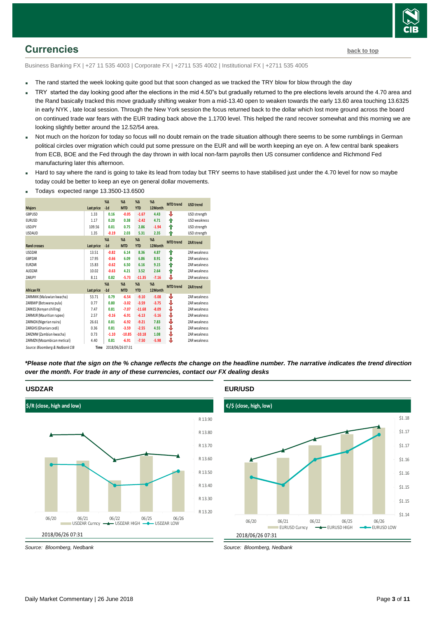## <span id="page-2-0"></span>**Currencies [back to top](#page-0-0)**

Business Banking FX | +27 11 535 4003 | Corporate FX | +2711 535 4002 | Institutional FX | +2711 535 4005

- The rand started the week looking quite good but that soon changed as we tracked the TRY blow for blow through the day
- TRY started the day looking good after the elections in the mid 4.50"s but gradually returned to the pre elections levels around the 4.70 area and the Rand basically tracked this move gradually shifting weaker from a mid-13.40 open to weaken towards the early 13.60 area touching 13.6325 in early NYK , late local session. Through the New York session the focus returned back to the dollar which lost more ground across the board on continued trade war fears with the EUR trading back above the 1.1700 level. This helped the rand recover somewhat and this morning we are looking slightly better around the 12.52/54 area.
- Not much on the horizon for today so focus will no doubt remain on the trade situation although there seems to be some rumblings in German political circles over migration which could put some pressure on the EUR and will be worth keeping an eye on. A few central bank speakers from ECB, BOE and the Fed through the day thrown in with local non-farm payrolls then US consumer confidence and Richmond Fed manufacturing later this afternoon.
- Hard to say where the rand is going to take its lead from today but TRY seems to have stabilised just under the 4.70 level for now so maybe today could be better to keep an eye on general dollar movements.

| <b>Majors</b>                   | <b>Last price</b> | $% \Delta$<br>$-1d$ | $% \Delta$<br><b>MTD</b> | $% \Delta$<br><b>YTD</b> | $\%$ $\Delta$<br>12Month | <b>MTD</b> trend | <b>USD trend</b> |
|---------------------------------|-------------------|---------------------|--------------------------|--------------------------|--------------------------|------------------|------------------|
| GBPUSD                          | 1.33              | 0.16                | $-0.05$                  | $-1.67$                  | 4.43                     | ⊕                | USD strength     |
| <b>EURUSD</b>                   | 1.17              | 0.20                | 0.38                     | $-2.42$                  | 4.71                     | ⇑                | USD weakness     |
| <b>USDJPY</b>                   | 109.56            | 0.01                | 0.75                     | 2.86                     | $-1.94$                  | ↟                | USD strength     |
| <b>USDAUD</b>                   | 1.35              | $-0.19$             | 2.03                     | 5.31                     | 2.35                     | ⇑                | USD strength     |
|                                 |                   | $%$ $\Delta$        | $%$ $\Delta$             | $% \Delta$               | $%$ $\Delta$             | <b>MTD</b> trend | <b>ZAR trend</b> |
| <b>Rand crosses</b>             | Last price        | $-1d$               | <b>MTD</b>               | <b>YTD</b>               | 12Month                  |                  |                  |
| <b>USDZAR</b>                   | 13.51             | $-0.82$             | 6.14                     | 8.36                     | 4.87                     | ↟                | ZAR weakness     |
| GBPZAR                          | 17.95             | $-0.66$             | 6.09                     | 6.86                     | 8.91                     | ⇑                | ZAR weakness     |
| <b>EURZAR</b>                   | 15.83             | $-0.62$             | 6.50                     | 6.16                     | 9.15                     | ⇑                | ZAR weakness     |
| <b>AUDZAR</b>                   | 10.02             | $-0.63$             | 4.21                     | 3.52                     | 2.64                     | ↟                | ZAR weakness     |
| ZARJPY                          | 8.11              | 0.82                | $-5.73$                  | $-11.35$                 | $-7.16$                  | ⇩                | ZAR weakness     |
|                                 |                   | $% \Delta$          | $% \Delta$               | $% \Delta$               | $%$ $\Delta$             | <b>MTD</b> trend |                  |
| <b>African FX</b>               | Last price        | $-1d$               | <b>MTD</b>               | <b>YTD</b>               | 12Month                  |                  | <b>ZAR trend</b> |
| ZARMWK (Malawian kwacha)        | 53.71             | 0.79                | $-6.54$                  | $-9.10$                  | $-5.08$                  | ⊕                | ZAR weakness     |
| ZARBWP (Botswana pula)          | 0.77              | 0.80                | $-3.02$                  | $-3.59$                  | $-3.75$                  | ⊕                | ZAR weakness     |
| ZARKES (Kenyan shilling)        | 7.47              | 0.81                | $-7.07$                  | $-11.68$                 | $-8.09$                  | ⇓                | ZAR weakness     |
| ZARMUR (Mauritian rupee)        | 2.57              | $-0.16$             | $-6.91$                  | $-6.13$                  | $-5.16$                  | ⇓                | ZAR weakness     |
| ZARNGN (Nigerian naira)         | 26.61             | 0.81                | $-6.92$                  | $-9.21$                  | 7.83                     | ⇓                | ZAR weakness     |
| ZARGHS (Ghanian cedi)           | 0.36              | 0.81                | $-3.59$                  | $-2.55$                  | 4.55                     | ⇩                | ZAR weakness     |
| ZARZMW (Zambian kwacha)         | 0.73              | $-1.10$             | $-10.85$                 | $-10.18$                 | 1.08                     | ⇩                | ZAR weakness     |
| ZARMZN (Mozambican metical)     | 4.40              | 0.81                | $-6.91$                  | $-7.50$                  | $-5.98$                  | ⇩                | ZAR weakness     |
| Source: Bloomberg & Nedbank CIB | Time              |                     | 2018/06/26 07:31         |                          |                          |                  |                  |

Todays expected range 13.3500-13.6500

*\*Please note that the sign on the % change reflects the change on the headline number. The narrative indicates the trend direction over the month. For trade in any of these currencies, contact our FX dealing desks*



#### **USDZAR**

#### **EUR/USD**



*Source: Bloomberg, Nedbank*

*Source: Bloomberg, Nedbank*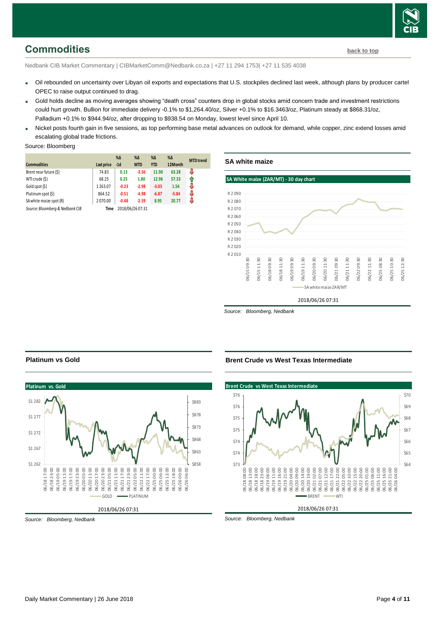# <span id="page-3-0"></span>**Commodities [back to top](#page-0-0)**

Nedbank CIB Market Commentary | CIBMarketComm@Nedbank.co.za | +27 11 294 1753| +27 11 535 4038

- Oil rebounded on uncertainty over Libyan oil exports and expectations that U.S. stockpiles declined last week, although plans by producer cartel OPEC to raise output continued to drag.
- Gold holds decline as moving averages showing "death cross" counters drop in global stocks amid concern trade and investment restrictions could hurt growth. Bullion for immediate delivery -0.1% to \$1,264.40/oz, Silver +0.1% to \$16.3463/oz, Platinum steady at \$868.31/oz, Palladium +0.1% to \$944.94/oz, after dropping to \$938.54 on Monday, lowest level since April 10.
- Nickel posts fourth gain in five sessions, as top performing base metal advances on outlook for demand, while copper, zinc extend losses amid escalating global trade frictions.

#### Source: Bloomberg

|                                 |            | $% \Delta$ | $% \Delta$       | $\% \Delta$ | $\%$ $\Delta$ | <b>MTD</b> trend |
|---------------------------------|------------|------------|------------------|-------------|---------------|------------------|
| <b>Commodities</b>              | Last price | $-1d$      | <b>MTD</b>       | <b>YTD</b>  | 12Month       |                  |
| Brent near future (\$)          | 74.83      | 0.13       | $-3.56$          | 11.90       | 63.28         | J                |
| WTI crude (\$)                  | 68.25      | 0.25       | 1.80             | 12.96       | 57.33         | ⇑                |
| Gold spot (\$)                  | 1263.07    | $-0.23$    | $-2.98$          | $-3.05$     | 1.54          | J                |
| Platinum spot (\$)              | 864.52     | $-0.51$    | $-4.98$          | $-6.87$     | $-5.84$       | J                |
| SA white maize spot (R)         | 2070.00    | $-0.48$    | $-2.59$          | 8.95        | 20.77         | ⇩                |
| Source: Bloomberg & Nedbank CIB | Time       |            | 2018/06/26 07:31 |             |               |                  |

#### **SA white maize**

#### **SA White maize (ZAR/MT) - 30 day chart**



*Source: Bloomberg, Nedbank*



*Source: Bloomberg, Nedbank*

**Platinum vs Gold**

#### **Brent Crude vs West Texas Intermediate**



*Source: Bloomberg, Nedbank*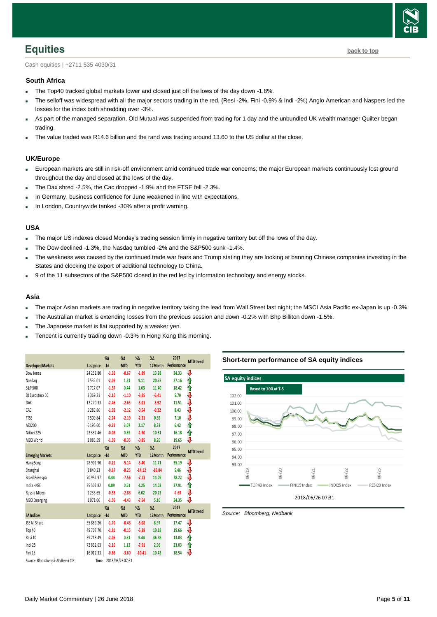

<span id="page-4-0"></span>Cash equities | +2711 535 4030/31

#### **South Africa**

- The Top40 tracked global markets lower and closed just off the lows of the day down -1.8%.
- The selloff was widespread with all the major sectors trading in the red. (Resi -2%, Fini -0.9% & Indi -2%) Anglo American and Naspers led the losses for the index both shredding over -3%.
- As part of the managed separation, Old Mutual was suspended from trading for 1 day and the unbundled UK wealth manager Quilter began trading.
- The value traded was R14.6 billion and the rand was trading around 13.60 to the US dollar at the close.

#### **UK/Europe**

- European markets are still in risk-off environment amid continued trade war concerns; the major European markets continuously lost ground throughout the day and closed at the lows of the day.
- The Dax shred -2.5%, the Cac dropped -1.9% and the FTSE fell -2.3%.
- In Germany, business confidence for June weakened in line with expectations.
- In London, Countrywide tanked -30% after a profit warning.

#### **USA**

- The major US indexes closed Monday's trading session firmly in negative territory but off the lows of the day.
- The Dow declined -1.3%, the Nasdaq tumbled -2% and the S&P500 sunk -1.4%.
- The weakness was caused by the continued trade war fears and Trump stating they are looking at banning Chinese companies investing in the States and clocking the export of additional technology to China.
- 9 of the 11 subsectors of the S&P500 closed in the red led by information technology and energy stocks.

#### **Asia**

- The major Asian markets are trading in negative territory taking the lead from Wall Street last night; the MSCI Asia Pacific ex-Japan is up -0.3%.
- The Australian market is extending losses from the previous session and down -0.2% with Bhp Billiton down -1.5%.
- The Japanese market is flat supported by a weaker yen.
- Tencent is currently trading down -0.3% in Hong Kong this morning.

|                                 |                   | $% \Delta$ | $% \Delta$       | $% \Delta$    | %Δ            | 2017        | <b>MTD</b> trend |
|---------------------------------|-------------------|------------|------------------|---------------|---------------|-------------|------------------|
| <b>Developed Markets</b>        | Last price        | $-1d$      | <b>MTD</b>       | <b>YTD</b>    | 12Month       | Performance |                  |
| Dow Jones                       | 24 25 2.80        | $-1.33$    | $-0.67$          | $-1.89$       | 13.28         | 24.33       | IJ               |
| Nasdag                          | 7532.01           | $-2.09$    | 1.21             | 9.11          | 20.57         | 27.16       | ⇑                |
| S&P 500                         | 2717.07           | $-1.37$    | 0.44             | 1.63          | 11.40         | 18.42       | ⇑                |
| DJ Eurostoxx 50                 | 3369.21           | $-2.10$    | $-1.10$          | $-3.85$       | $-5.41$       | 5.70        | ₩                |
| DAX                             | 12 270.33         | $-2.46$    | $-2.65$          | $-5.01$       | $-3.92$       | 11.51       | ⇩                |
| CAC                             | 5283.86           | $-1.92$    | $-2.12$          | $-0.54$       | $-0.22$       | 8.43        | ⇩                |
| <b>FTSE</b>                     | 7509.84           | $-2.24$    | $-2.19$          | $-2.31$       | 0.85          | 7.10        | ₩                |
| ASX200                          | 6 196.60          | $-0.22$    | 3.07             | 2.17          | 8.33          | 6.42        | ⋔                |
| Nikkei 225                      | 22 332.46         | $-0.03$    | 0.59             | $-1.90$       | 10.81         | 16.18       | ⇑                |
| MSCI World                      | 2085.59           | $-1.39$    | $-0.35$          | $-0.85$       | 8.20          | 19.65       | ₩                |
|                                 |                   | %Δ         | $% \Delta$       | $\%$ $\Delta$ | $\%$ $\Delta$ | 2017        |                  |
| <b>Emerging Markets</b>         | <b>Last price</b> | $-1d$      | <b>MTD</b>       | <b>YTD</b>    | 12Month       | Performance | <b>MTD</b> trend |
| Hang Seng                       | 28 901.90         | $-0.21$    | $-5.14$          | $-3.40$       | 11.71         | 35.19       | J                |
| Shanghai                        | 2840.23           | $-0.67$    | $-8.25$          | $-14.12$      | $-10.84$      | 5.46        | ⇩                |
| Brazil Bovespa                  | 70952.97          | 0.44       | $-7.56$          | $-7.13$       | 14.09         | 28.22       | ⇩                |
| India - NSE                     | 35 502.82         | 0.09       | 0.51             | 4.25          | 14.02         | 27.91       | ⇑                |
| Russia Micex                    | 2236.65           | $-0.58$    | $-2.88$          | 6.02          | 20.22         | $-7.69$     | ₩                |
| <b>MSCI Emerging</b>            | 1071.06           | $-1.56$    | $-4.43$          | $-7.54$       | 5.10          | 34.35       | ₩                |
|                                 |                   | $% \Delta$ | $% \Delta$       | $% \Delta$    | $\%$ $\Delta$ | 2017        |                  |
| <b>SA Indices</b>               | <b>Last price</b> | $-1d$      | <b>MTD</b>       | <b>YTD</b>    | 12Month       | Performance | <b>MTD</b> trend |
| JSE All Share                   | 55 889.26         | $-1.70$    | $-0.48$          | $-6.08$       | 8.97          | 17.47       | ⇩                |
| Top 40                          | 49 707.70         | $-1.81$    | $-0.15$          | $-5.38$       | 10.18         | 19.66       | ₩                |
| Resi 10                         | 39 718.49         | $-2.05$    | 0.31             | 9.44          | 36.98         | 13.03       | ⇑                |
| Indi 25                         | 72832.63          | $-2.10$    | 1.13             | $-7.91$       | 2.96          | 23.03       | ⇑                |
| Fini 15                         | 16012.33          | $-0.86$    | $-3.60$          | $-10.41$      | 10.43         | 18.54       | V                |
| Source: Bloomberg & Nedbank CIB | Time              |            | 2018/06/26 07:31 |               |               |             |                  |

#### **Short-term performance of SA equity indices**



*Source: Bloomberg, Nedbank*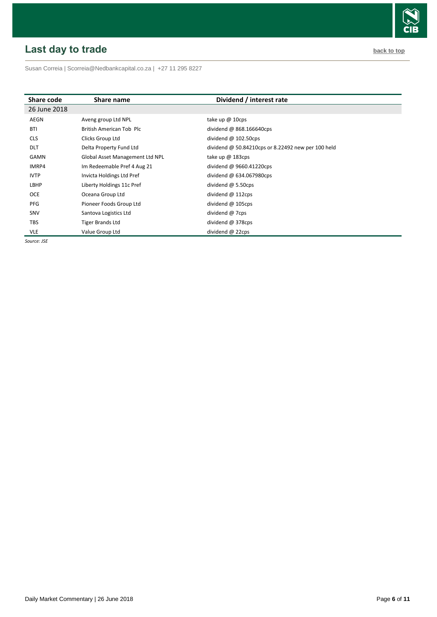# <span id="page-5-0"></span>**Last day to trade back to the contract of the contract of the contract of the contract of the contract of the contract of the contract of the contract of the contract of the contract of the contract of the contract of t**

Susan Correia [| Scorreia@Nedbankcapital.co.za](mailto:Scorreia@Nedbankcapital.co.za) | +27 11 295 8227

| Share code   | Share name                      | Dividend / interest rate                           |
|--------------|---------------------------------|----------------------------------------------------|
| 26 June 2018 |                                 |                                                    |
| AEGN         | Aveng group Ltd NPL             | take up $@$ 10cps                                  |
| <b>BTI</b>   | British American Tob Plc        | dividend @ 868.166640cps                           |
| <b>CLS</b>   | Clicks Group Ltd                | dividend $@102.50cps$                              |
| <b>DLT</b>   | Delta Property Fund Ltd         | dividend @ 50.84210cps or 8.22492 new per 100 held |
| GAMN         | Global Asset Management Ltd NPL | take up $@$ 183cps                                 |
| IMRP4        | Im Redeemable Pref 4 Aug 21     | dividend @ 9660.41220cps                           |
| <b>IVTP</b>  | Invicta Holdings Ltd Pref       | dividend @ 634.067980cps                           |
| LBHP         | Liberty Holdings 11c Pref       | dividend $\omega$ 5.50cps                          |
| <b>OCE</b>   | Oceana Group Ltd                | dividend @ 112cps                                  |
| PFG          | Pioneer Foods Group Ltd         | dividend $@$ 105cps                                |
| SNV          | Santova Logistics Ltd           | dividend @ 7cps                                    |
| <b>TBS</b>   | <b>Tiger Brands Ltd</b>         | dividend @ 378cps                                  |
| <b>VLE</b>   | Value Group Ltd                 | dividend @ 22cps                                   |

*Source: JSE*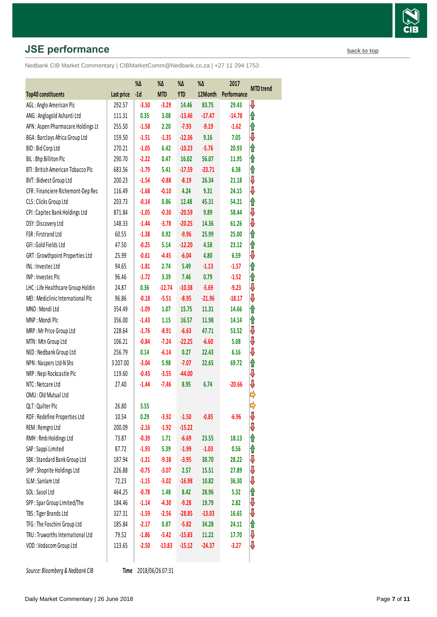# **JSE performance [back to top](#page-0-0) back to top**

Nedbank CIB Market Commentary | CIBMarketComm@Nedbank.co.za | +27 11 294 1753

|                                    |            | %Δ      | %Δ         | %Δ         | %Δ       | 2017        | <b>MTD</b> trend |
|------------------------------------|------------|---------|------------|------------|----------|-------------|------------------|
| <b>Top40 constituents</b>          | Last price | $-1d$   | <b>MTD</b> | <b>YTD</b> | 12Month  | Performance |                  |
| AGL: Anglo American Plc            | 292.57     | $-3.50$ | $-3.29$    | 14.46      | 83.75    | 29.43       | ⇩                |
| ANG: Anglogold Ashanti Ltd         | 111.31     | 0.35    | 3.08       | $-13.46$   | $-17.47$ | $-14.78$    | 1                |
| APN : Aspen Pharmacare Holdings Lt | 255.50     | $-1.58$ | 2.20       | $-7.93$    | $-9.19$  | $-1.62$     | ⇑                |
| BGA: Barclays Africa Group Ltd     | 159.50     | $-1.51$ | $-1.35$    | $-12.36$   | 9.16     | 7.05        | ⇩                |
| BID: Bid Corp Ltd                  | 270.21     | $-1.05$ | 6.42       | $-10.23$   | $-5.76$  | 20.93       | ⇑                |
| BIL: Bhp Billiton Plc              | 290.70     | $-2.22$ | 0.47       | 16.02      | 56.07    | 11.95       | ⇑                |
| BTI: British American Tobacco Plc  | 683.56     | $-1.79$ | 5.41       | $-17.59$   | $-23.71$ | 6.38        | ⇑                |
| <b>BVT: Bidvest Group Ltd</b>      | 200.23     | $-1.54$ | $-0.88$    | $-8.19$    | 26.34    | 21.18       | ⇩                |
| CFR : Financiere Richemont-Dep Rec | 116.49     | $-1.68$ | $-0.10$    | 4.24       | 9.31     | 24.15       | ⇩                |
| CLS: Clicks Group Ltd              | 203.73     | $-0.14$ | 0.86       | 12.48      | 45.31    | 54.21       | ⇑                |
| CPI: Capitec Bank Holdings Ltd     | 871.84     | $-1.05$ | $-0.30$    | $-20.59$   | 9.89     | 58.44       | ⇩                |
| DSY: Discovery Ltd                 | 148.33     | $-1.44$ | $-3.78$    | $-20.25$   | 14.36    | 61.26       | ⇩                |
| FSR: Firstrand Ltd                 | 60.55      | $-1.38$ | 0.92       | $-9.96$    | 25.99    | 25.00       | ⇑                |
| GFI: Gold Fields Ltd               | 47.50      | $-0.25$ | 5.14       | $-12.20$   | 4.58     | 23.12       | ⇑                |
| GRT: Growthpoint Properties Ltd    | 25.99      | $-0.61$ | $-4.45$    | $-6.04$    | 4.80     | 6.59        | ⇩                |
| INL: Investec Ltd                  | 94.65      | $-1.81$ | 2.74       | 5.49       | $-1.13$  | $-1.57$     | ⇑                |
| INP: Investec Plc                  | 96.46      | $-1.72$ | 3.39       | 7.46       | 0.79     | $-1.52$     | ⇑                |
| LHC: Life Healthcare Group Holdin  | 24.87      | 0.36    | $-12.74$   | $-10.38$   | $-5.69$  | $-9.23$     | ⇩                |
| MEI: Mediclinic International Plc  | 96.86      | $-0.18$ | $-5.51$    | $-8.95$    | $-21.96$ | $-18.17$    | ⇩                |
| MND: Mondi Ltd                     | 354.49     | $-1.09$ | 1.07       | 15.75      | 11.31    | 14.66       | ⇑                |
| MNP: Mondi Plc                     | 356.00     | $-1.43$ | 1.15       | 16.57      | 11.98    | 14.14       | ⇑                |
| MRP: Mr Price Group Ltd            | 228.64     | $-1.76$ | $-8.91$    | $-6.63$    | 47.71    | 53.52       | ⇩                |
| MTN: Mtn Group Ltd                 | 106.21     | $-0.84$ | $-7.24$    | $-22.25$   | $-6.60$  | 5.08        | ⇩                |
| NED: Nedbank Group Ltd             | 256.79     | 0.14    | $-6.14$    | 0.27       | 22.43    | 6.16        | ⇩                |
| NPN: Naspers Ltd-N Shs             | 3 207.00   | $-3.04$ | 5.98       | $-7.07$    | 22.65    | 69.72       | ⇑                |
| NRP : Nepi Rockcastle Plc          | 119.60     | $-0.43$ | $-3.55$    | $-44.00$   |          |             | ⇩                |
| NTC: Netcare Ltd                   | 27.40      | $-1.44$ | $-7.46$    | 8.95       | 6.74     | $-20.66$    | ⇩                |
| OMU: Old Mutual Ltd                |            |         |            |            |          |             |                  |
| QLT: Quilter Plc                   | 26.80      | 3.55    |            |            |          |             |                  |
| RDF: Redefine Properties Ltd       | 10.54      | 0.29    | $-3.92$    | $-1.50$    | $-0.85$  | $-6.96$     | ⇓                |
| REM: Remgro Ltd                    | 200.09     | $-2.16$ | $-1.92$    | $-15.22$   |          |             | ⇩                |
| RMH: Rmb Holdings Ltd              | 73.87      | $-0.39$ | 1.71       | $-6.69$    | 23.55    | 18.13       | ⇑                |
| SAP: Sappi Limited                 | 87.72      | $-1.93$ | 5.39       | $-1.99$    | $-1.03$  | 0.56        | ⇑                |
| SBK: Standard Bank Group Ltd       | 187.94     | $-1.21$ | $-9.38$    | $-3.95$    | 30.70    | 28.22       | ⇓                |
| SHP: Shoprite Holdings Ltd         | 226.88     | $-0.75$ | $-3.07$    | 2.57       | 15.51    | 27.89       | ⇩                |
| SLM: Sanlam Ltd                    | 72.23      | $-1.15$ | $-5.02$    | $-16.98$   | 10.82    | 36.30       | ⇩                |
| SOL: Sasol Ltd                     | 464.25     | $-0.78$ | 1.48       | 8.42       | 28.96    | 5.32        | ⇑                |
| SPP: Spar Group Limited/The        | 184.46     | $-1.14$ | $-4.30$    | $-9.28$    | 19.79    | 2.82        | ⇩                |
| TBS: Tiger Brands Ltd              | 327.31     | $-1.59$ | $-2.56$    | $-28.85$   | $-13.03$ | 16.65       | ⇩                |
| TFG: The Foschini Group Ltd        | 185.84     | $-2.17$ | 0.87       | $-5.82$    | 34.28    | 24.11       | ⋔                |
| TRU: Truworths International Ltd   | 79.52      | $-1.86$ | $-5.42$    | $-15.83$   | 11.22    | 17.70       | ⇩                |
| VOD: Vodacom Group Ltd             | 123.65     | $-2.50$ | $-13.83$   | $-15.12$   | $-24.37$ | $-3.27$     | ⇩                |
|                                    |            |         |            |            |          |             |                  |

**Source: Bloomberg & Nedbank CIB** 

Time 2018/06/26 07:31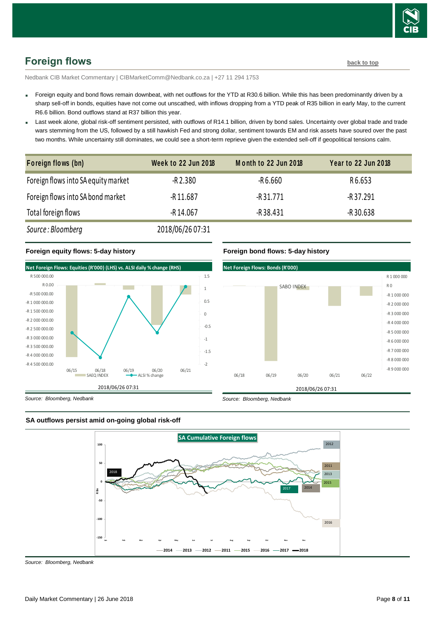

# <span id="page-7-0"></span>**Foreign flows [back to top](#page-0-0)**

Nedbank CIB Market Commentary | CIBMarketComm@Nedbank.co.za | +27 11 294 1753

- Foreign equity and bond flows remain downbeat, with net outflows for the YTD at R30.6 billion. While this has been predominantly driven by a sharp sell-off in bonds, equities have not come out unscathed, with inflows dropping from a YTD peak of R35 billion in early May, to the current R6.6 billion. Bond outflows stand at R37 billion this year.
- Last week alone, global risk-off sentiment persisted, with outflows of R14.1 billion, driven by bond sales. Uncertainty over global trade and trade wars stemming from the US, followed by a still hawkish Fed and strong dollar, sentiment towards EM and risk assets have soured over the past

| two months. While uncertainty still dominates, we could see a short-term reprieve given the extended sell-off if geopolitical tensions calm. |                            |                      |                            |  |  |  |
|----------------------------------------------------------------------------------------------------------------------------------------------|----------------------------|----------------------|----------------------------|--|--|--|
| Foreign flows (bn)                                                                                                                           | <b>Week to 22 Jun 2018</b> | Month to 22 Jun 2018 | <b>Year to 22 Jun 2018</b> |  |  |  |
| Foreign flows into SA equity market                                                                                                          | $-R$ 2.380                 | $-R6.660$            | R6.653                     |  |  |  |
| Foreign flows into SA bond market                                                                                                            | $-R$ 11.687                | -R 31.771            | -R 37.291                  |  |  |  |
| Total foreign flows                                                                                                                          | $-R$ 14.067                | $-R$ 38.431          | -R30.638                   |  |  |  |
| Source: Bloomberg                                                                                                                            | 2018/06/26 07:31           |                      |                            |  |  |  |

#### **Foreign equity flows: 5-day history**



#### **Foreign bond flows: 5-day history**



*Source: Bloomberg, Nedbank*





*Source: Bloomberg, Nedbank*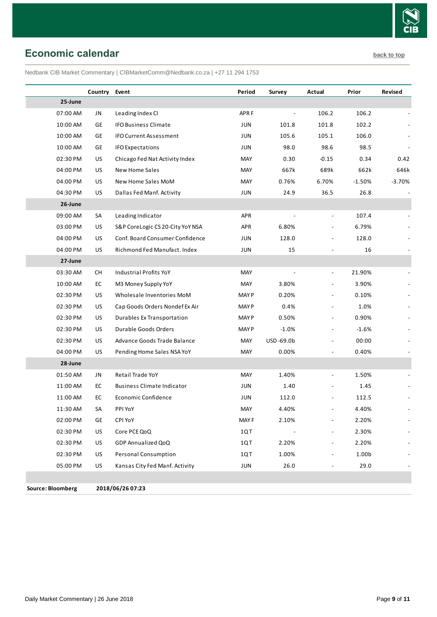

## <span id="page-8-0"></span>**Economic calendar [back to top](#page-0-0)**

Nedbank CIB Market Commentary | CIBMarketComm@Nedbank.co.za | +27 11 294 1753

|          | Country   | Event                             | Period       | Survey    | Actual                       | Prior    | Revised  |
|----------|-----------|-----------------------------------|--------------|-----------|------------------------------|----------|----------|
| 25-June  |           |                                   |              |           |                              |          |          |
| 07:00 AM | JN        | Leading Index CI                  | APR F        |           | 106.2                        | 106.2    |          |
| 10:00 AM | GE        | <b>IFO Business Climate</b>       | JUN          | 101.8     | 101.8                        | 102.2    |          |
| 10:00 AM | GE        | <b>IFO Current Assessment</b>     | <b>JUN</b>   | 105.6     | 105.1                        | 106.0    |          |
| 10:00 AM | GE        | <b>IFO Expectations</b>           | JUN          | 98.0      | 98.6                         | 98.5     |          |
| 02:30 PM | US        | Chicago Fed Nat Activity Index    | MAY          | 0.30      | $-0.15$                      | 0.34     | 0.42     |
| 04:00 PM | US        | New Home Sales                    | MAY          | 667k      | 689k                         | 662k     | 646k     |
| 04:00 PM | US        | New Home Sales MoM                | MAY          | 0.76%     | 6.70%                        | $-1.50%$ | $-3.70%$ |
| 04:30 PM | US        | Dallas Fed Manf. Activity         | JUN          | 24.9      | 36.5                         | 26.8     |          |
| 26-June  |           |                                   |              |           |                              |          |          |
| 09:00 AM | SA        | Leading Indicator                 | <b>APR</b>   |           | $\overline{\phantom{a}}$     | 107.4    |          |
| 03:00 PM | US        | S&P CoreLogic CS 20-City YoY NSA  | <b>APR</b>   | 6.80%     |                              | 6.79%    |          |
| 04:00 PM | US        | Conf. Board Consumer Confidence   | JUN          | 128.0     |                              | 128.0    |          |
| 04:00 PM | US        | Richmond Fed Manufact. Index      | JUN          | 15        |                              | 16       |          |
| 27-June  |           |                                   |              |           |                              |          |          |
| 03:30 AM | <b>CH</b> | Industrial Profits YoY            | <b>MAY</b>   |           | $\overline{\phantom{a}}$     | 21.90%   |          |
| 10:00 AM | EC        | M3 Money Supply YoY               | MAY          | 3.80%     | $\overline{a}$               | 3.90%    |          |
| 02:30 PM | US        | Wholesale Inventories MoM         | MAY P        | 0.20%     |                              | 0.10%    |          |
| 02:30 PM | US        | Cap Goods Orders Nondef Ex Air    | MAY P        | 0.4%      |                              | 1.0%     |          |
| 02:30 PM | US        | <b>Durables Ex Transportation</b> | <b>MAY P</b> | 0.50%     | $\overline{a}$               | 0.90%    |          |
| 02:30 PM | US        | Durable Goods Orders              | <b>MAY P</b> | $-1.0%$   | $\overline{\phantom{a}}$     | $-1.6%$  |          |
| 02:30 PM | US        | Advance Goods Trade Balance       | MAY          | USD-69.0b |                              | 00:00    |          |
| 04:00 PM | US        | Pending Home Sales NSA YoY        | MAY          | 0.00%     |                              | 0.40%    |          |
| 28-June  |           |                                   |              |           |                              |          |          |
| 01:50 AM | JN        | Retail Trade YoY                  | MAY          | 1.40%     |                              | 1.50%    |          |
| 11:00 AM | EC        | <b>Business Climate Indicator</b> | JUN          | 1.40      |                              | 1.45     |          |
| 11:00 AM | EC        | Economic Confidence               | JUN          | 112.0     |                              | 112.5    |          |
| 11:30 AM | SA        | PPI YoY                           | MAY          | 4.40%     |                              | 4.40%    |          |
| 02:00 PM | GE        | CPI YoY                           | MAY F        | 2.10%     | $\qquad \qquad -$            | 2.20%    |          |
| 02:30 PM | US        | Core PCE QoQ                      | 1QT          |           |                              | 2.30%    |          |
| 02:30 PM | US        | GDP Annualized QoQ                | 1QT          | 2.20%     | $\qquad \qquad \blacksquare$ | 2.20%    |          |
| 02:30 PM | US        | Personal Consumption              | 1QT          | 1.00%     |                              | 1.00b    |          |
| 05:00 PM | US        | Kansas City Fed Manf. Activity    | JUN          | 26.0      | $\overline{\phantom{a}}$     | 29.0     |          |
|          |           |                                   |              |           |                              |          |          |

**Source: Bloomberg 2018/06/26 07:23**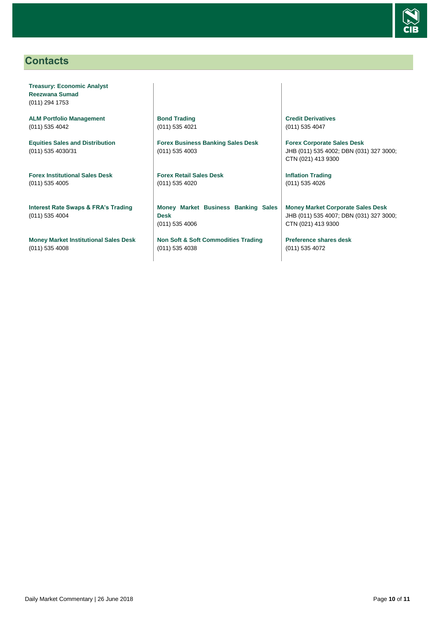

### <span id="page-9-0"></span>**Contacts**

**Treasury: Economic Analyst Reezwana Sumad** (011) 294 1753

**ALM Portfolio Management** (011) 535 4042

**Equities Sales and Distribution** (011) 535 4030/31

**Forex Institutional Sales Desk** (011) 535 4005

**Interest Rate Swaps & FRA's Trading** (011) 535 4004

**Money Market Institutional Sales Desk** (011) 535 4008

**Bond Trading** (011) 535 4021

**Forex Business Banking Sales Desk** (011) 535 4003

**Forex Retail Sales Desk** (011) 535 4020

**Money Market Business Banking Sales Desk** (011) 535 4006

**Non Soft & Soft Commodities Trading** (011) 535 4038

**Credit Derivatives**  (011) 535 4047

**Forex Corporate Sales Desk** JHB (011) 535 4002; DBN (031) 327 3000; CTN (021) 413 9300

**Inflation Trading** (011) 535 4026

**Money Market Corporate Sales Desk** JHB (011) 535 4007; DBN (031) 327 3000; CTN (021) 413 9300

**Preference shares desk** (011) 535 4072